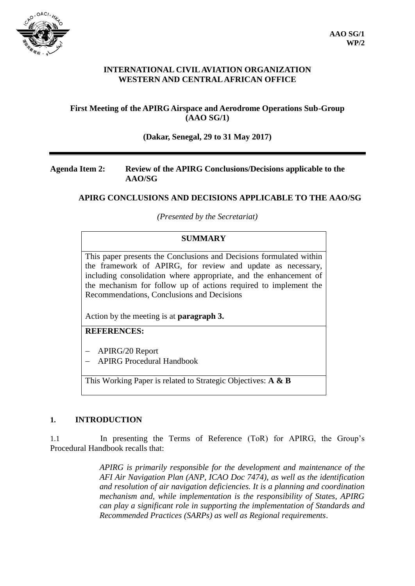

## **INTERNATIONAL CIVIL AVIATION ORGANIZATION WESTERN AND CENTRAL AFRICAN OFFICE**

# **First Meeting of the APIRG Airspace and Aerodrome Operations Sub-Group (AAO SG/1)**

## **(Dakar, Senegal, 29 to 31 May 2017)**

## **Agenda Item 2: Review of the APIRG Conclusions/Decisions applicable to the AAO/SG**

# **APIRG CONCLUSIONS AND DECISIONS APPLICABLE TO THE AAO/SG**

*(Presented by the Secretariat)*

# **SUMMARY**

This paper presents the Conclusions and Decisions formulated within the framework of APIRG, for review and update as necessary, including consolidation where appropriate, and the enhancement of the mechanism for follow up of actions required to implement the Recommendations, Conclusions and Decisions

Action by the meeting is at **paragraph 3.**

# **REFERENCES:**

- APIRG/20 Report
- APIRG Procedural Handbook

This Working Paper is related to Strategic Objectives: **A & B**

## **1. INTRODUCTION**

1.1 In presenting the Terms of Reference (ToR) for APIRG, the Group's Procedural Handbook recalls that:

> *APIRG is primarily responsible for the development and maintenance of the AFI Air Navigation Plan (ANP, ICAO Doc 7474), as well as the identification and resolution of air navigation deficiencies. It is a planning and coordination mechanism and, while implementation is the responsibility of States, APIRG can play a significant role in supporting the implementation of Standards and Recommended Practices (SARPs) as well as Regional requirements*.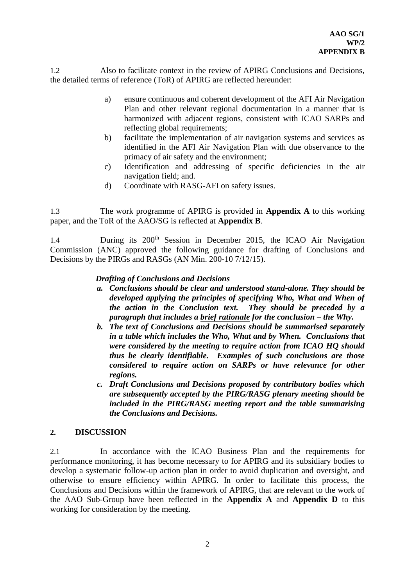1.2 Also to facilitate context in the review of APIRG Conclusions and Decisions, the detailed terms of reference (ToR) of APIRG are reflected hereunder:

- a) ensure continuous and coherent development of the AFI Air Navigation Plan and other relevant regional documentation in a manner that is harmonized with adjacent regions, consistent with ICAO SARPs and reflecting global requirements;
- b) facilitate the implementation of air navigation systems and services as identified in the AFI Air Navigation Plan with due observance to the primacy of air safety and the environment;
- c) Identification and addressing of specific deficiencies in the air navigation field; and.
- d) Coordinate with RASG-AFI on safety issues.

1.3 The work programme of APIRG is provided in **Appendix A** to this working paper, and the ToR of the AAO/SG is reflected at **Appendix B**.

1.4 During its 200<sup>th</sup> Session in December 2015, the ICAO Air Navigation Commission (ANC) approved the following guidance for drafting of Conclusions and Decisions by the PIRGs and RASGs (AN Min. 200-10 7/12/15).

# *Drafting of Conclusions and Decisions*

- *a. Conclusions should be clear and understood stand-alone. They should be developed applying the principles of specifying Who, What and When of the action in the Conclusion text. They should be preceded by a paragraph that includes a brief rationale for the conclusion – the Why.*
- *b. The text of Conclusions and Decisions should be summarised separately in a table which includes the Who, What and by When. Conclusions that were considered by the meeting to require action from ICAO HQ should thus be clearly identifiable. Examples of such conclusions are those considered to require action on SARPs or have relevance for other regions.*
- *c. Draft Conclusions and Decisions proposed by contributory bodies which are subsequently accepted by the PIRG/RASG plenary meeting should be included in the PIRG/RASG meeting report and the table summarising the Conclusions and Decisions.*

## **2. DISCUSSION**

2.1 In accordance with the ICAO Business Plan and the requirements for performance monitoring, it has become necessary to for APIRG and its subsidiary bodies to develop a systematic follow-up action plan in order to avoid duplication and oversight, and otherwise to ensure efficiency within APIRG. In order to facilitate this process, the Conclusions and Decisions within the framework of APIRG, that are relevant to the work of the AAO Sub-Group have been reflected in the **Appendix A** and **Appendix D** to this working for consideration by the meeting.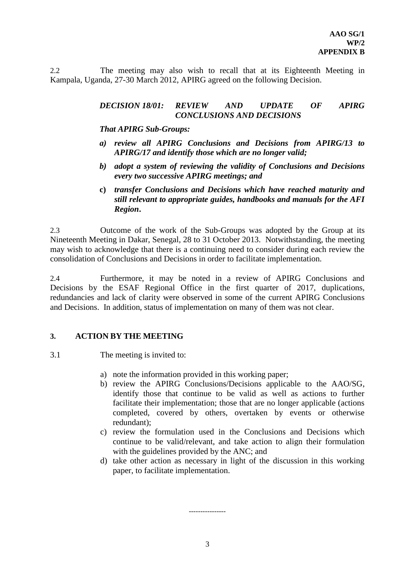2.2 The meeting may also wish to recall that at its Eighteenth Meeting in Kampala, Uganda, 27-30 March 2012, APIRG agreed on the following Decision.

#### *DECISION 18/01: REVIEW AND UPDATE OF APIRG CONCLUSIONS AND DECISIONS*

*That APIRG Sub-Groups:*

- *a) review all APIRG Conclusions and Decisions from APIRG/13 to APIRG/17 and identify those which are no longer valid;*
- *b) adopt a system of reviewing the validity of Conclusions and Decisions every two successive APIRG meetings; and*
- **c)** *transfer Conclusions and Decisions which have reached maturity and still relevant to appropriate guides, handbooks and manuals for the AFI Region***.**

2.3 Outcome of the work of the Sub-Groups was adopted by the Group at its Nineteenth Meeting in Dakar, Senegal, 28 to 31 October 2013. Notwithstanding, the meeting may wish to acknowledge that there is a continuing need to consider during each review the consolidation of Conclusions and Decisions in order to facilitate implementation.

2.4 Furthermore, it may be noted in a review of APIRG Conclusions and Decisions by the ESAF Regional Office in the first quarter of 2017, duplications, redundancies and lack of clarity were observed in some of the current APIRG Conclusions and Decisions. In addition, status of implementation on many of them was not clear.

## **3. ACTION BY THE MEETING**

3.1 The meeting is invited to:

- a) note the information provided in this working paper;
- b) review the APIRG Conclusions/Decisions applicable to the AAO/SG, identify those that continue to be valid as well as actions to further facilitate their implementation; those that are no longer applicable (actions completed, covered by others, overtaken by events or otherwise redundant);
- c) review the formulation used in the Conclusions and Decisions which continue to be valid/relevant, and take action to align their formulation with the guidelines provided by the ANC; and
- d) take other action as necessary in light of the discussion in this working paper, to facilitate implementation.

----------------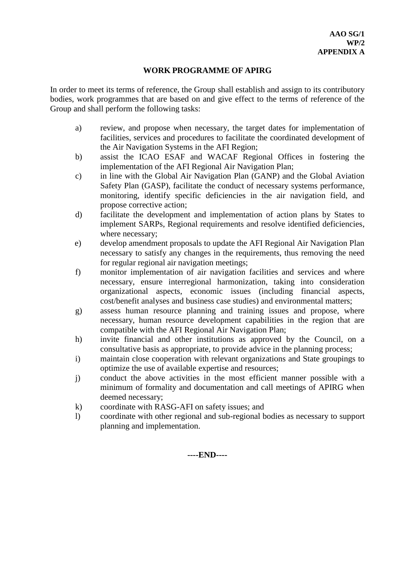## **WORK PROGRAMME OF APIRG**

In order to meet its terms of reference, the Group shall establish and assign to its contributory bodies, work programmes that are based on and give effect to the terms of reference of the Group and shall perform the following tasks:

- a) review, and propose when necessary, the target dates for implementation of facilities, services and procedures to facilitate the coordinated development of the Air Navigation Systems in the AFI Region;
- b) assist the ICAO ESAF and WACAF Regional Offices in fostering the implementation of the AFI Regional Air Navigation Plan;
- c) in line with the Global Air Navigation Plan (GANP) and the Global Aviation Safety Plan (GASP), facilitate the conduct of necessary systems performance, monitoring, identify specific deficiencies in the air navigation field, and propose corrective action;
- d) facilitate the development and implementation of action plans by States to implement SARPs, Regional requirements and resolve identified deficiencies, where necessary;
- e) develop amendment proposals to update the AFI Regional Air Navigation Plan necessary to satisfy any changes in the requirements, thus removing the need for regular regional air navigation meetings;
- f) monitor implementation of air navigation facilities and services and where necessary, ensure interregional harmonization, taking into consideration organizational aspects, economic issues (including financial aspects, cost/benefit analyses and business case studies) and environmental matters;
- g) assess human resource planning and training issues and propose, where necessary, human resource development capabilities in the region that are compatible with the AFI Regional Air Navigation Plan;
- h) invite financial and other institutions as approved by the Council, on a consultative basis as appropriate, to provide advice in the planning process;
- i) maintain close cooperation with relevant organizations and State groupings to optimize the use of available expertise and resources;
- j) conduct the above activities in the most efficient manner possible with a minimum of formality and documentation and call meetings of APIRG when deemed necessary;
- k) coordinate with RASG-AFI on safety issues; and
- l) coordinate with other regional and sub-regional bodies as necessary to support planning and implementation.

**----END----**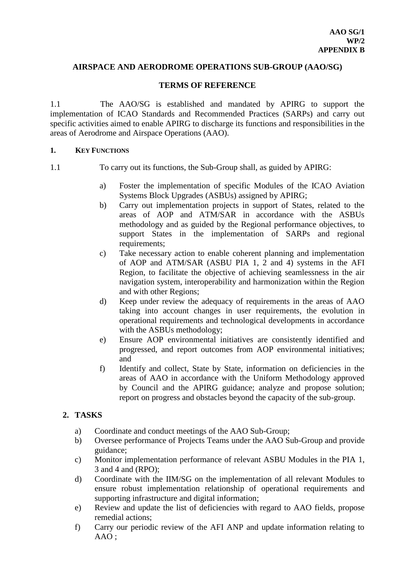## **AIRSPACE AND AERODROME OPERATIONS SUB-GROUP (AAO/SG)**

## **TERMS OF REFERENCE**

1.1 The AAO/SG is established and mandated by APIRG to support the implementation of ICAO Standards and Recommended Practices (SARPs) and carry out specific activities aimed to enable APIRG to discharge its functions and responsibilities in the areas of Aerodrome and Airspace Operations (AAO).

## **1. KEY FUNCTIONS**

- 1.1 To carry out its functions, the Sub-Group shall, as guided by APIRG:
	- a) Foster the implementation of specific Modules of the ICAO Aviation Systems Block Upgrades (ASBUs) assigned by APIRG;
	- b) Carry out implementation projects in support of States, related to the areas of AOP and ATM/SAR in accordance with the ASBUs methodology and as guided by the Regional performance objectives, to support States in the implementation of SARPs and regional requirements;
	- c) Take necessary action to enable coherent planning and implementation of AOP and ATM/SAR (ASBU PIA 1, 2 and 4) systems in the AFI Region, to facilitate the objective of achieving seamlessness in the air navigation system, interoperability and harmonization within the Region and with other Regions;
	- d) Keep under review the adequacy of requirements in the areas of AAO taking into account changes in user requirements, the evolution in operational requirements and technological developments in accordance with the ASBUs methodology;
	- e) Ensure AOP environmental initiatives are consistently identified and progressed, and report outcomes from AOP environmental initiatives; and
	- f) Identify and collect, State by State, information on deficiencies in the areas of AAO in accordance with the Uniform Methodology approved by Council and the APIRG guidance; analyze and propose solution; report on progress and obstacles beyond the capacity of the sub-group.

# **2. TASKS**

- a) Coordinate and conduct meetings of the AAO Sub-Group;
- b) Oversee performance of Projects Teams under the AAO Sub-Group and provide guidance;
- c) Monitor implementation performance of relevant ASBU Modules in the PIA 1, 3 and 4 and (RPO);
- d) Coordinate with the IIM/SG on the implementation of all relevant Modules to ensure robust implementation relationship of operational requirements and supporting infrastructure and digital information;
- e) Review and update the list of deficiencies with regard to AAO fields, propose remedial actions;
- f) Carry our periodic review of the AFI ANP and update information relating to AAO ;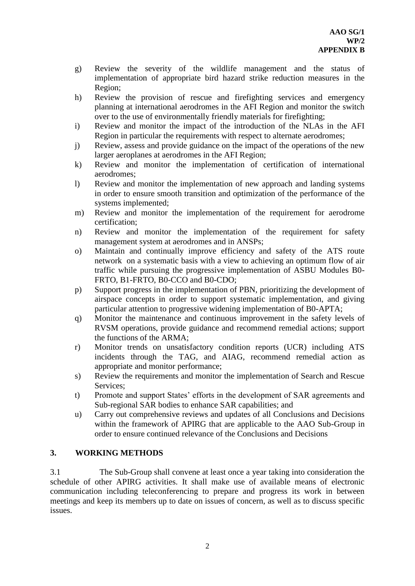- g) Review the severity of the wildlife management and the status of implementation of appropriate bird hazard strike reduction measures in the Region;
- h) Review the provision of rescue and firefighting services and emergency planning at international aerodromes in the AFI Region and monitor the switch over to the use of environmentally friendly materials for firefighting;
- i) Review and monitor the impact of the introduction of the NLAs in the AFI Region in particular the requirements with respect to alternate aerodromes;
- j) Review, assess and provide guidance on the impact of the operations of the new larger aeroplanes at aerodromes in the AFI Region;
- k) Review and monitor the implementation of certification of international aerodromes;
- l) Review and monitor the implementation of new approach and landing systems in order to ensure smooth transition and optimization of the performance of the systems implemented;
- m) Review and monitor the implementation of the requirement for aerodrome certification;
- n) Review and monitor the implementation of the requirement for safety management system at aerodromes and in ANSPs;
- o) Maintain and continually improve efficiency and safety of the ATS route network on a systematic basis with a view to achieving an optimum flow of air traffic while pursuing the progressive implementation of ASBU Modules B0- FRTO, B1-FRTO, B0-CCO and B0-CDO;
- p) Support progress in the implementation of PBN, prioritizing the development of airspace concepts in order to support systematic implementation, and giving particular attention to progressive widening implementation of B0-APTA;
- q) Monitor the maintenance and continuous improvement in the safety levels of RVSM operations, provide guidance and recommend remedial actions; support the functions of the ARMA;
- r) Monitor trends on unsatisfactory condition reports (UCR) including ATS incidents through the TAG, and AIAG, recommend remedial action as appropriate and monitor performance;
- s) Review the requirements and monitor the implementation of Search and Rescue Services;
- t) Promote and support States' efforts in the development of SAR agreements and Sub-regional SAR bodies to enhance SAR capabilities; and
- u) Carry out comprehensive reviews and updates of all Conclusions and Decisions within the framework of APIRG that are applicable to the AAO Sub-Group in order to ensure continued relevance of the Conclusions and Decisions

# **3. WORKING METHODS**

3.1 The Sub-Group shall convene at least once a year taking into consideration the schedule of other APIRG activities. It shall make use of available means of electronic communication including teleconferencing to prepare and progress its work in between meetings and keep its members up to date on issues of concern, as well as to discuss specific issues.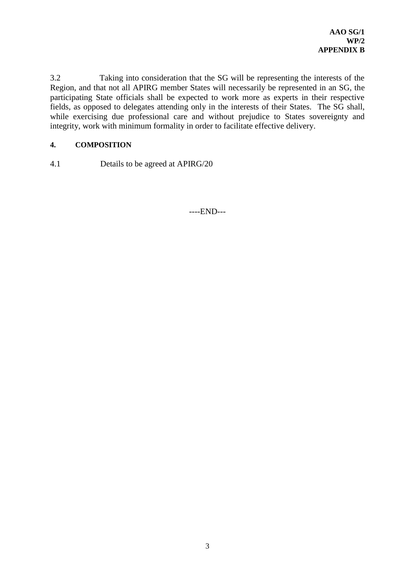3.2 Taking into consideration that the SG will be representing the interests of the Region, and that not all APIRG member States will necessarily be represented in an SG, the participating State officials shall be expected to work more as experts in their respective fields, as opposed to delegates attending only in the interests of their States. The SG shall, while exercising due professional care and without prejudice to States sovereignty and integrity, work with minimum formality in order to facilitate effective delivery.

# **4. COMPOSITION**

4.1 Details to be agreed at APIRG/20

----END---